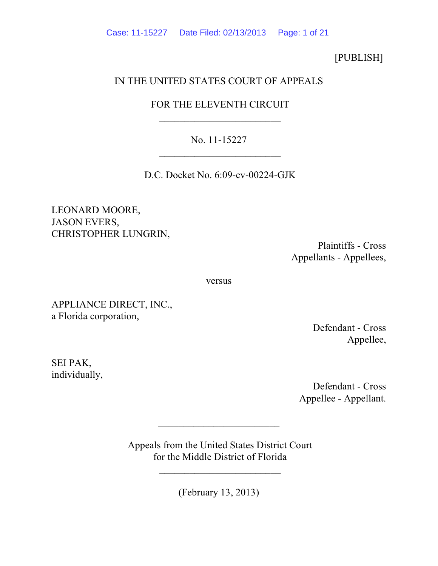Case: 11-15227 Date Filed: 02/13/2013 Page: 1 of 21

[PUBLISH]

# IN THE UNITED STATES COURT OF APPEALS

# FOR THE ELEVENTH CIRCUIT  $\overline{\phantom{a}}$  , where  $\overline{\phantom{a}}$  , where  $\overline{\phantom{a}}$  , where  $\overline{\phantom{a}}$

# No. 11-15227  $\overline{\phantom{a}}$  , where  $\overline{\phantom{a}}$  , where  $\overline{\phantom{a}}$  , where  $\overline{\phantom{a}}$

D.C. Docket No. 6:09-cv-00224-GJK

LEONARD MOORE, JASON EVERS, CHRISTOPHER LUNGRIN,

> Plaintiffs - Cross Appellants - Appellees,

versus

APPLIANCE DIRECT, INC., a Florida corporation,

> Defendant - Cross Appellee,

SEI PAK, individually,

> Defendant - Cross Appellee - Appellant.

 Appeals from the United States District Court for the Middle District of Florida

 $\overline{\phantom{a}}$ 

(February 13, 2013)

 $\overline{\phantom{a}}$  , where the contract of the contract of the contract of the contract of the contract of the contract of the contract of the contract of the contract of the contract of the contract of the contract of the contr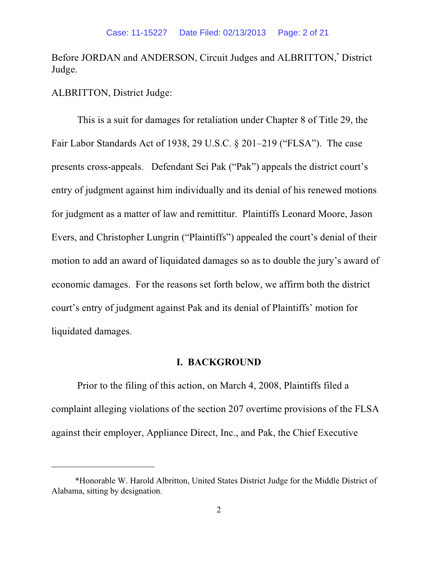Before JORDAN and ANDERSON, Circuit Judges and ALBRITTON,<sup>\*</sup> District Judge.

ALBRITTON, District Judge:

This is a suit for damages for retaliation under Chapter 8 of Title 29, the Fair Labor Standards Act of 1938, 29 U.S.C. § 201–219 ("FLSA"). The case presents cross-appeals. Defendant Sei Pak ("Pak") appeals the district court's entry of judgment against him individually and its denial of his renewed motions for judgment as a matter of law and remittitur. Plaintiffs Leonard Moore, Jason Evers, and Christopher Lungrin ("Plaintiffs") appealed the court's denial of their motion to add an award of liquidated damages so as to double the jury's award of economic damages. For the reasons set forth below, we affirm both the district court's entry of judgment against Pak and its denial of Plaintiffs' motion for liquidated damages.

### **I. BACKGROUND**

Prior to the filing of this action, on March 4, 2008, Plaintiffs filed a complaint alleging violations of the section 207 overtime provisions of the FLSA against their employer, Appliance Direct, Inc., and Pak, the Chief Executive

 <sup>\*</sup>Honorable W. Harold Albritton, United States District Judge for the Middle District of Alabama, sitting by designation.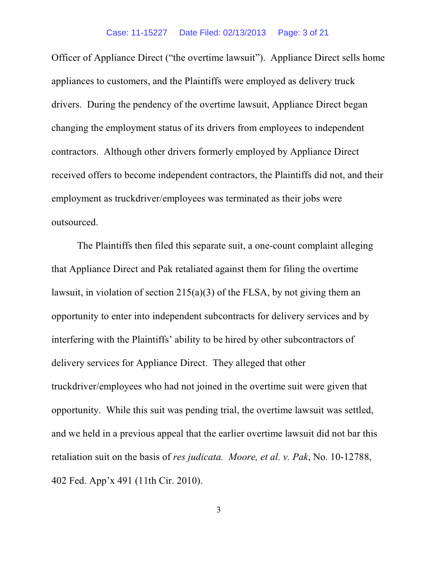Officer of Appliance Direct ("the overtime lawsuit"). Appliance Direct sells home appliances to customers, and the Plaintiffs were employed as delivery truck drivers. During the pendency of the overtime lawsuit, Appliance Direct began changing the employment status of its drivers from employees to independent contractors. Although other drivers formerly employed by Appliance Direct received offers to become independent contractors, the Plaintiffs did not, and their employment as truckdriver/employees was terminated as their jobs were outsourced.

The Plaintiffs then filed this separate suit, a one-count complaint alleging that Appliance Direct and Pak retaliated against them for filing the overtime lawsuit, in violation of section 215(a)(3) of the FLSA, by not giving them an opportunity to enter into independent subcontracts for delivery services and by interfering with the Plaintiffs' ability to be hired by other subcontractors of delivery services for Appliance Direct. They alleged that other truckdriver/employees who had not joined in the overtime suit were given that opportunity. While this suit was pending trial, the overtime lawsuit was settled, and we held in a previous appeal that the earlier overtime lawsuit did not bar this retaliation suit on the basis of *res judicata. Moore, et al. v. Pak*, No. 10-12788, 402 Fed. App'x 491 (11th Cir. 2010).

3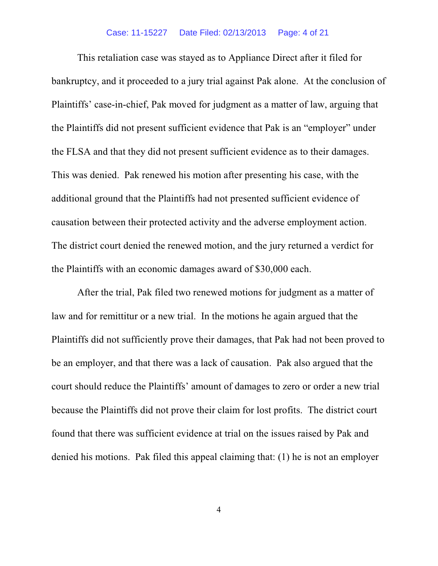#### Case: 11-15227 Date Filed: 02/13/2013 Page: 4 of 21

This retaliation case was stayed as to Appliance Direct after it filed for bankruptcy, and it proceeded to a jury trial against Pak alone. At the conclusion of Plaintiffs' case-in-chief, Pak moved for judgment as a matter of law, arguing that the Plaintiffs did not present sufficient evidence that Pak is an "employer" under the FLSA and that they did not present sufficient evidence as to their damages. This was denied. Pak renewed his motion after presenting his case, with the additional ground that the Plaintiffs had not presented sufficient evidence of causation between their protected activity and the adverse employment action. The district court denied the renewed motion, and the jury returned a verdict for the Plaintiffs with an economic damages award of \$30,000 each.

After the trial, Pak filed two renewed motions for judgment as a matter of law and for remittitur or a new trial. In the motions he again argued that the Plaintiffs did not sufficiently prove their damages, that Pak had not been proved to be an employer, and that there was a lack of causation. Pak also argued that the court should reduce the Plaintiffs' amount of damages to zero or order a new trial because the Plaintiffs did not prove their claim for lost profits. The district court found that there was sufficient evidence at trial on the issues raised by Pak and denied his motions. Pak filed this appeal claiming that: (1) he is not an employer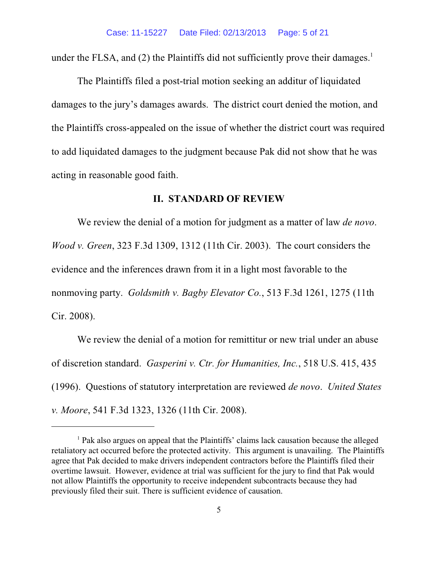under the FLSA, and (2) the Plaintiffs did not sufficiently prove their damages.<sup>1</sup>

The Plaintiffs filed a post-trial motion seeking an additur of liquidated damages to the jury's damages awards. The district court denied the motion, and the Plaintiffs cross-appealed on the issue of whether the district court was required to add liquidated damages to the judgment because Pak did not show that he was acting in reasonable good faith.

#### **II. STANDARD OF REVIEW**

We review the denial of a motion for judgment as a matter of law *de novo*. *Wood v. Green*, 323 F.3d 1309, 1312 (11th Cir. 2003). The court considers the evidence and the inferences drawn from it in a light most favorable to the nonmoving party. *Goldsmith v. Bagby Elevator Co.*, 513 F.3d 1261, 1275 (11th Cir. 2008).

We review the denial of a motion for remittitur or new trial under an abuse of discretion standard. *Gasperini v. Ctr. for Humanities, Inc.*, 518 U.S. 415, 435 (1996). Questions of statutory interpretation are reviewed *de novo*. *United States v. Moore*, 541 F.3d 1323, 1326 (11th Cir. 2008).

 $<sup>1</sup>$  Pak also argues on appeal that the Plaintiffs' claims lack causation because the alleged</sup> retaliatory act occurred before the protected activity. This argument is unavailing. The Plaintiffs agree that Pak decided to make drivers independent contractors before the Plaintiffs filed their overtime lawsuit. However, evidence at trial was sufficient for the jury to find that Pak would not allow Plaintiffs the opportunity to receive independent subcontracts because they had previously filed their suit. There is sufficient evidence of causation.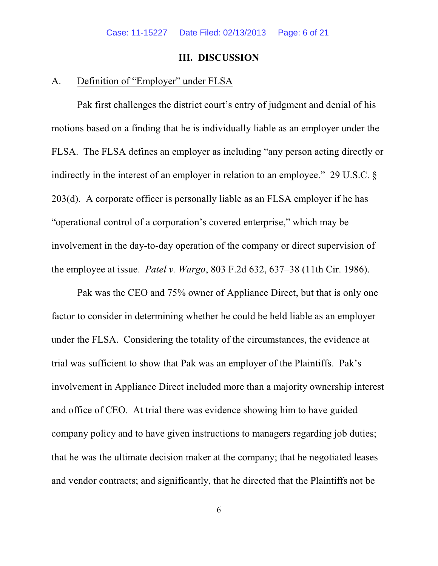### **III. DISCUSSION**

# A. Definition of "Employer" under FLSA

Pak first challenges the district court's entry of judgment and denial of his motions based on a finding that he is individually liable as an employer under the FLSA. The FLSA defines an employer as including "any person acting directly or indirectly in the interest of an employer in relation to an employee." 29 U.S.C. § 203(d). A corporate officer is personally liable as an FLSA employer if he has "operational control of a corporation's covered enterprise," which may be involvement in the day-to-day operation of the company or direct supervision of the employee at issue. *Patel v. Wargo*, 803 F.2d 632, 637–38 (11th Cir. 1986).

Pak was the CEO and 75% owner of Appliance Direct, but that is only one factor to consider in determining whether he could be held liable as an employer under the FLSA. Considering the totality of the circumstances, the evidence at trial was sufficient to show that Pak was an employer of the Plaintiffs. Pak's involvement in Appliance Direct included more than a majority ownership interest and office of CEO. At trial there was evidence showing him to have guided company policy and to have given instructions to managers regarding job duties; that he was the ultimate decision maker at the company; that he negotiated leases and vendor contracts; and significantly, that he directed that the Plaintiffs not be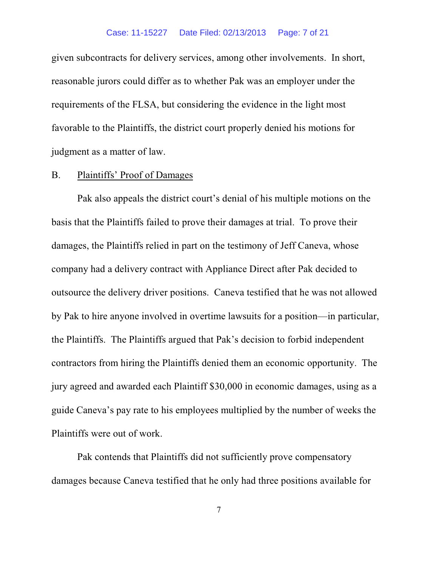#### Case: 11-15227 Date Filed: 02/13/2013 Page: 7 of 21

given subcontracts for delivery services, among other involvements. In short, reasonable jurors could differ as to whether Pak was an employer under the requirements of the FLSA, but considering the evidence in the light most favorable to the Plaintiffs, the district court properly denied his motions for judgment as a matter of law.

#### B. Plaintiffs' Proof of Damages

Pak also appeals the district court's denial of his multiple motions on the basis that the Plaintiffs failed to prove their damages at trial. To prove their damages, the Plaintiffs relied in part on the testimony of Jeff Caneva, whose company had a delivery contract with Appliance Direct after Pak decided to outsource the delivery driver positions. Caneva testified that he was not allowed by Pak to hire anyone involved in overtime lawsuits for a position—in particular, the Plaintiffs. The Plaintiffs argued that Pak's decision to forbid independent contractors from hiring the Plaintiffs denied them an economic opportunity. The jury agreed and awarded each Plaintiff \$30,000 in economic damages, using as a guide Caneva's pay rate to his employees multiplied by the number of weeks the Plaintiffs were out of work.

Pak contends that Plaintiffs did not sufficiently prove compensatory damages because Caneva testified that he only had three positions available for

7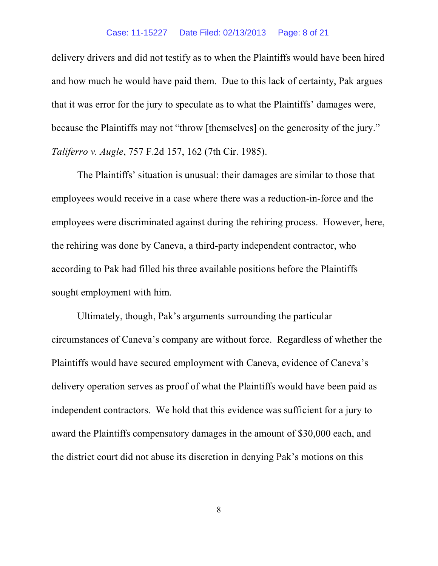#### Case: 11-15227 Date Filed: 02/13/2013 Page: 8 of 21

delivery drivers and did not testify as to when the Plaintiffs would have been hired and how much he would have paid them. Due to this lack of certainty, Pak argues that it was error for the jury to speculate as to what the Plaintiffs' damages were, because the Plaintiffs may not "throw [themselves] on the generosity of the jury." *Taliferro v. Augle*, 757 F.2d 157, 162 (7th Cir. 1985).

The Plaintiffs' situation is unusual: their damages are similar to those that employees would receive in a case where there was a reduction-in-force and the employees were discriminated against during the rehiring process. However, here, the rehiring was done by Caneva, a third-party independent contractor, who according to Pak had filled his three available positions before the Plaintiffs sought employment with him.

Ultimately, though, Pak's arguments surrounding the particular circumstances of Caneva's company are without force. Regardless of whether the Plaintiffs would have secured employment with Caneva, evidence of Caneva's delivery operation serves as proof of what the Plaintiffs would have been paid as independent contractors. We hold that this evidence was sufficient for a jury to award the Plaintiffs compensatory damages in the amount of \$30,000 each, and the district court did not abuse its discretion in denying Pak's motions on this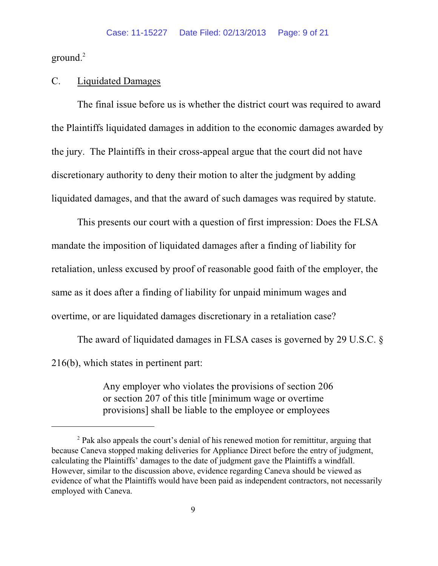ground. $2$ 

## C. Liquidated Damages

The final issue before us is whether the district court was required to award the Plaintiffs liquidated damages in addition to the economic damages awarded by the jury. The Plaintiffs in their cross-appeal argue that the court did not have discretionary authority to deny their motion to alter the judgment by adding liquidated damages, and that the award of such damages was required by statute.

This presents our court with a question of first impression: Does the FLSA mandate the imposition of liquidated damages after a finding of liability for retaliation, unless excused by proof of reasonable good faith of the employer, the same as it does after a finding of liability for unpaid minimum wages and overtime, or are liquidated damages discretionary in a retaliation case?

The award of liquidated damages in FLSA cases is governed by 29 U.S.C. § 216(b), which states in pertinent part:

> Any employer who violates the provisions of section 206 or section 207 of this title [minimum wage or overtime provisions] shall be liable to the employee or employees

 $P<sup>2</sup>$  Pak also appeals the court's denial of his renewed motion for remittitur, arguing that because Caneva stopped making deliveries for Appliance Direct before the entry of judgment, calculating the Plaintiffs' damages to the date of judgment gave the Plaintiffs a windfall. However, similar to the discussion above, evidence regarding Caneva should be viewed as evidence of what the Plaintiffs would have been paid as independent contractors, not necessarily employed with Caneva.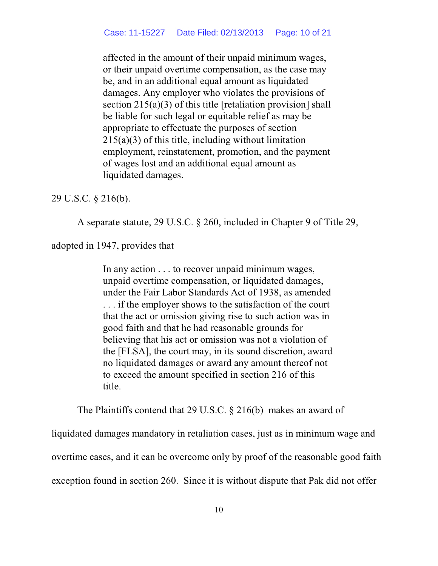affected in the amount of their unpaid minimum wages, or their unpaid overtime compensation, as the case may be, and in an additional equal amount as liquidated damages. Any employer who violates the provisions of section 215(a)(3) of this title [retaliation provision] shall be liable for such legal or equitable relief as may be appropriate to effectuate the purposes of section 215(a)(3) of this title, including without limitation employment, reinstatement, promotion, and the payment of wages lost and an additional equal amount as liquidated damages.

### 29 U.S.C. § 216(b).

A separate statute, 29 U.S.C. § 260, included in Chapter 9 of Title 29,

adopted in 1947, provides that

In any action . . . to recover unpaid minimum wages, unpaid overtime compensation, or liquidated damages, under the Fair Labor Standards Act of 1938, as amended . . . if the employer shows to the satisfaction of the court that the act or omission giving rise to such action was in good faith and that he had reasonable grounds for believing that his act or omission was not a violation of the [FLSA], the court may, in its sound discretion, award no liquidated damages or award any amount thereof not to exceed the amount specified in section 216 of this title.

The Plaintiffs contend that 29 U.S.C. § 216(b) makes an award of

liquidated damages mandatory in retaliation cases, just as in minimum wage and overtime cases, and it can be overcome only by proof of the reasonable good faith exception found in section 260. Since it is without dispute that Pak did not offer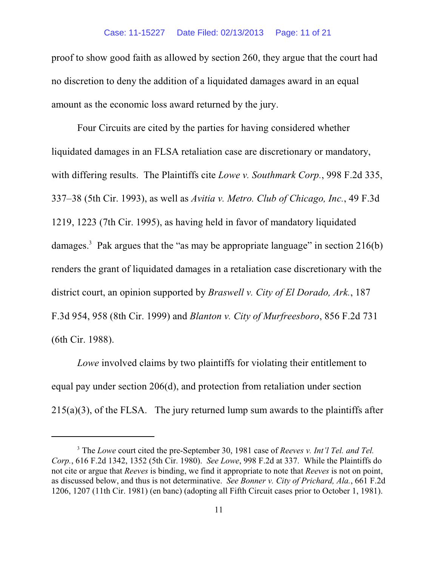proof to show good faith as allowed by section 260, they argue that the court had no discretion to deny the addition of a liquidated damages award in an equal amount as the economic loss award returned by the jury.

Four Circuits are cited by the parties for having considered whether liquidated damages in an FLSA retaliation case are discretionary or mandatory, with differing results. The Plaintiffs cite *Lowe v. Southmark Corp.*, 998 F.2d 335, 337–38 (5th Cir. 1993), as well as *Avitia v. Metro. Club of Chicago, Inc.*, 49 F.3d 1219, 1223 (7th Cir. 1995), as having held in favor of mandatory liquidated damages.<sup>3</sup> Pak argues that the "as may be appropriate language" in section  $216(b)$ renders the grant of liquidated damages in a retaliation case discretionary with the district court, an opinion supported by *Braswell v. City of El Dorado, Ark.*, 187 F.3d 954, 958 (8th Cir. 1999) and *Blanton v. City of Murfreesboro*, 856 F.2d 731 (6th Cir. 1988).

*Lowe* involved claims by two plaintiffs for violating their entitlement to equal pay under section 206(d), and protection from retaliation under section 215(a)(3), of the FLSA. The jury returned lump sum awards to the plaintiffs after

<sup>&</sup>lt;sup>3</sup> The *Lowe* court cited the pre-September 30, 1981 case of *Reeves v. Int'l Tel. and Tel. Corp.*, 616 F.2d 1342, 1352 (5th Cir. 1980). *See Lowe*, 998 F.2d at 337. While the Plaintiffs do not cite or argue that *Reeves* is binding, we find it appropriate to note that *Reeves* is not on point, as discussed below, and thus is not determinative. *See Bonner v. City of Prichard, Ala.*, 661 F.2d 1206, 1207 (11th Cir. 1981) (en banc) (adopting all Fifth Circuit cases prior to October 1, 1981).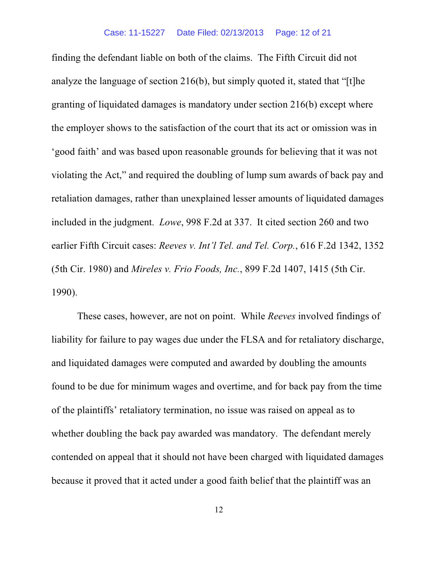finding the defendant liable on both of the claims. The Fifth Circuit did not analyze the language of section 216(b), but simply quoted it, stated that "[t]he granting of liquidated damages is mandatory under section 216(b) except where the employer shows to the satisfaction of the court that its act or omission was in 'good faith' and was based upon reasonable grounds for believing that it was not violating the Act," and required the doubling of lump sum awards of back pay and retaliation damages, rather than unexplained lesser amounts of liquidated damages included in the judgment. *Lowe*, 998 F.2d at 337. It cited section 260 and two earlier Fifth Circuit cases: *Reeves v. Int'l Tel. and Tel. Corp.*, 616 F.2d 1342, 1352 (5th Cir. 1980) and *Mireles v. Frio Foods, Inc.*, 899 F.2d 1407, 1415 (5th Cir. 1990).

These cases, however, are not on point. While *Reeves* involved findings of liability for failure to pay wages due under the FLSA and for retaliatory discharge, and liquidated damages were computed and awarded by doubling the amounts found to be due for minimum wages and overtime, and for back pay from the time of the plaintiffs' retaliatory termination, no issue was raised on appeal as to whether doubling the back pay awarded was mandatory. The defendant merely contended on appeal that it should not have been charged with liquidated damages because it proved that it acted under a good faith belief that the plaintiff was an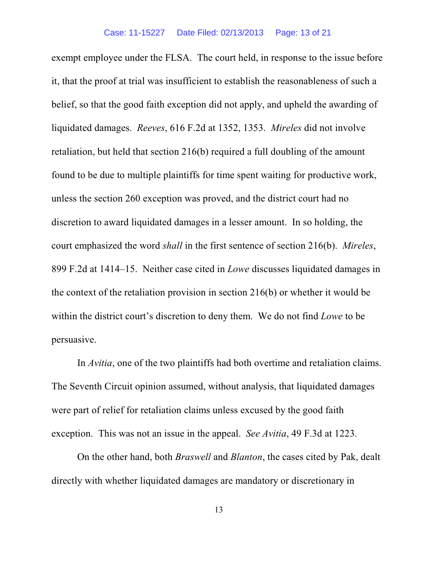exempt employee under the FLSA. The court held, in response to the issue before it, that the proof at trial was insufficient to establish the reasonableness of such a belief, so that the good faith exception did not apply, and upheld the awarding of liquidated damages. *Reeves*, 616 F.2d at 1352, 1353. *Mireles* did not involve retaliation, but held that section 216(b) required a full doubling of the amount found to be due to multiple plaintiffs for time spent waiting for productive work, unless the section 260 exception was proved, and the district court had no discretion to award liquidated damages in a lesser amount. In so holding, the court emphasized the word *shall* in the first sentence of section 216(b). *Mireles*, 899 F.2d at 1414–15. Neither case cited in *Lowe* discusses liquidated damages in the context of the retaliation provision in section 216(b) or whether it would be within the district court's discretion to deny them. We do not find *Lowe* to be persuasive.

In *Avitia*, one of the two plaintiffs had both overtime and retaliation claims. The Seventh Circuit opinion assumed, without analysis, that liquidated damages were part of relief for retaliation claims unless excused by the good faith exception. This was not an issue in the appeal. *See Avitia*, 49 F.3d at 1223.

On the other hand, both *Braswell* and *Blanton*, the cases cited by Pak, dealt directly with whether liquidated damages are mandatory or discretionary in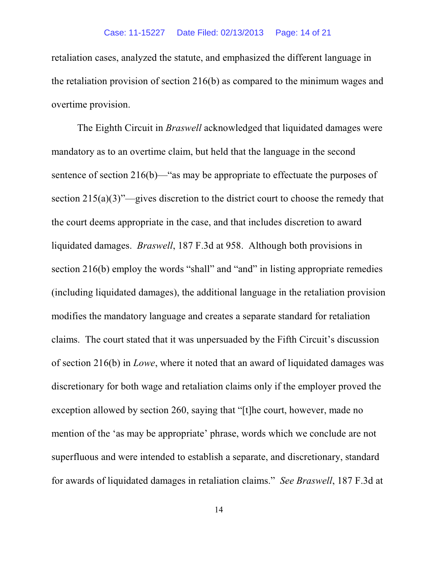retaliation cases, analyzed the statute, and emphasized the different language in the retaliation provision of section 216(b) as compared to the minimum wages and overtime provision.

The Eighth Circuit in *Braswell* acknowledged that liquidated damages were mandatory as to an overtime claim, but held that the language in the second sentence of section 216(b)—"as may be appropriate to effectuate the purposes of section 215(a)(3)"—gives discretion to the district court to choose the remedy that the court deems appropriate in the case, and that includes discretion to award liquidated damages. *Braswell*, 187 F.3d at 958. Although both provisions in section 216(b) employ the words "shall" and "and" in listing appropriate remedies (including liquidated damages), the additional language in the retaliation provision modifies the mandatory language and creates a separate standard for retaliation claims. The court stated that it was unpersuaded by the Fifth Circuit's discussion of section 216(b) in *Lowe*, where it noted that an award of liquidated damages was discretionary for both wage and retaliation claims only if the employer proved the exception allowed by section 260, saying that "[t]he court, however, made no mention of the 'as may be appropriate' phrase, words which we conclude are not superfluous and were intended to establish a separate, and discretionary, standard for awards of liquidated damages in retaliation claims." *See Braswell*, 187 F.3d at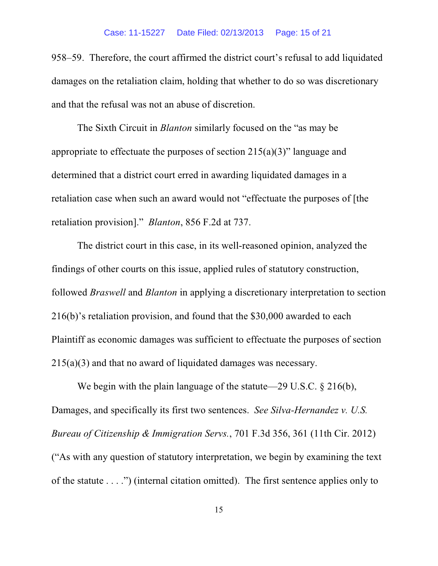958–59. Therefore, the court affirmed the district court's refusal to add liquidated damages on the retaliation claim, holding that whether to do so was discretionary and that the refusal was not an abuse of discretion.

The Sixth Circuit in *Blanton* similarly focused on the "as may be appropriate to effectuate the purposes of section  $215(a)(3)$ " language and determined that a district court erred in awarding liquidated damages in a retaliation case when such an award would not "effectuate the purposes of [the retaliation provision]." *Blanton*, 856 F.2d at 737.

The district court in this case, in its well-reasoned opinion, analyzed the findings of other courts on this issue, applied rules of statutory construction, followed *Braswell* and *Blanton* in applying a discretionary interpretation to section 216(b)'s retaliation provision, and found that the \$30,000 awarded to each Plaintiff as economic damages was sufficient to effectuate the purposes of section 215(a)(3) and that no award of liquidated damages was necessary.

We begin with the plain language of the statute—29 U.S.C. § 216(b), Damages, and specifically its first two sentences. *See Silva-Hernandez v. U.S. Bureau of Citizenship & Immigration Servs.*, 701 F.3d 356, 361 (11th Cir. 2012) ("As with any question of statutory interpretation, we begin by examining the text of the statute . . . .") (internal citation omitted). The first sentence applies only to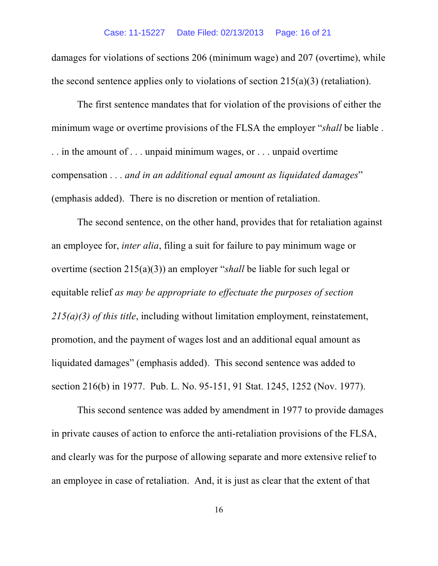damages for violations of sections 206 (minimum wage) and 207 (overtime), while the second sentence applies only to violations of section 215(a)(3) (retaliation).

The first sentence mandates that for violation of the provisions of either the minimum wage or overtime provisions of the FLSA the employer "*shall* be liable . . . in the amount of . . . unpaid minimum wages, or . . . unpaid overtime compensation . . . *and in an additional equal amount as liquidated damages*" (emphasis added). There is no discretion or mention of retaliation.

The second sentence, on the other hand, provides that for retaliation against an employee for, *inter alia*, filing a suit for failure to pay minimum wage or overtime (section 215(a)(3)) an employer "*shall* be liable for such legal or equitable relief *as may be appropriate to effectuate the purposes of section 215(a)(3) of this title*, including without limitation employment, reinstatement, promotion, and the payment of wages lost and an additional equal amount as liquidated damages" (emphasis added). This second sentence was added to section 216(b) in 1977. Pub. L. No. 95-151, 91 Stat. 1245, 1252 (Nov. 1977).

This second sentence was added by amendment in 1977 to provide damages in private causes of action to enforce the anti-retaliation provisions of the FLSA, and clearly was for the purpose of allowing separate and more extensive relief to an employee in case of retaliation. And, it is just as clear that the extent of that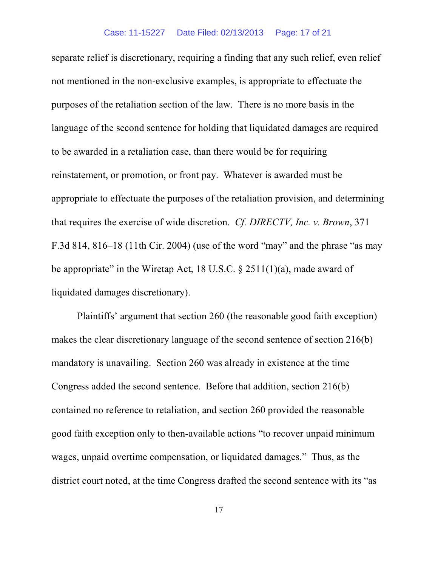separate relief is discretionary, requiring a finding that any such relief, even relief not mentioned in the non-exclusive examples, is appropriate to effectuate the purposes of the retaliation section of the law. There is no more basis in the language of the second sentence for holding that liquidated damages are required to be awarded in a retaliation case, than there would be for requiring reinstatement, or promotion, or front pay. Whatever is awarded must be appropriate to effectuate the purposes of the retaliation provision, and determining that requires the exercise of wide discretion. *Cf. DIRECTV, Inc. v. Brown*, 371 F.3d 814, 816–18 (11th Cir. 2004) (use of the word "may" and the phrase "as may be appropriate" in the Wiretap Act, 18 U.S.C.  $\S$  2511(1)(a), made award of liquidated damages discretionary).

Plaintiffs' argument that section 260 (the reasonable good faith exception) makes the clear discretionary language of the second sentence of section 216(b) mandatory is unavailing. Section 260 was already in existence at the time Congress added the second sentence. Before that addition, section 216(b) contained no reference to retaliation, and section 260 provided the reasonable good faith exception only to then-available actions "to recover unpaid minimum wages, unpaid overtime compensation, or liquidated damages." Thus, as the district court noted, at the time Congress drafted the second sentence with its "as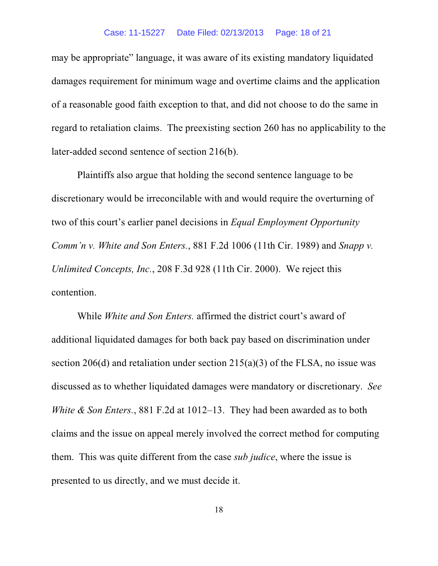#### Case: 11-15227 Date Filed: 02/13/2013 Page: 18 of 21

may be appropriate" language, it was aware of its existing mandatory liquidated damages requirement for minimum wage and overtime claims and the application of a reasonable good faith exception to that, and did not choose to do the same in regard to retaliation claims. The preexisting section 260 has no applicability to the later-added second sentence of section 216(b).

Plaintiffs also argue that holding the second sentence language to be discretionary would be irreconcilable with and would require the overturning of two of this court's earlier panel decisions in *Equal Employment Opportunity Comm'n v. White and Son Enters.*, 881 F.2d 1006 (11th Cir. 1989) and *Snapp v. Unlimited Concepts, Inc.*, 208 F.3d 928 (11th Cir. 2000). We reject this contention.

While *White and Son Enters.* affirmed the district court's award of additional liquidated damages for both back pay based on discrimination under section 206(d) and retaliation under section 215(a)(3) of the FLSA, no issue was discussed as to whether liquidated damages were mandatory or discretionary. *See White & Son Enters.*, 881 F.2d at 1012–13. They had been awarded as to both claims and the issue on appeal merely involved the correct method for computing them. This was quite different from the case *sub judice*, where the issue is presented to us directly, and we must decide it.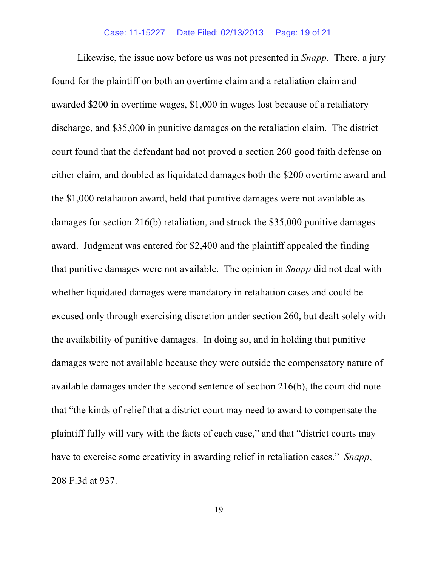Likewise, the issue now before us was not presented in *Snapp*. There, a jury found for the plaintiff on both an overtime claim and a retaliation claim and awarded \$200 in overtime wages, \$1,000 in wages lost because of a retaliatory discharge, and \$35,000 in punitive damages on the retaliation claim. The district court found that the defendant had not proved a section 260 good faith defense on either claim, and doubled as liquidated damages both the \$200 overtime award and the \$1,000 retaliation award, held that punitive damages were not available as damages for section 216(b) retaliation, and struck the \$35,000 punitive damages award. Judgment was entered for \$2,400 and the plaintiff appealed the finding that punitive damages were not available. The opinion in *Snapp* did not deal with whether liquidated damages were mandatory in retaliation cases and could be excused only through exercising discretion under section 260, but dealt solely with the availability of punitive damages. In doing so, and in holding that punitive damages were not available because they were outside the compensatory nature of available damages under the second sentence of section 216(b), the court did note that "the kinds of relief that a district court may need to award to compensate the plaintiff fully will vary with the facts of each case," and that "district courts may have to exercise some creativity in awarding relief in retaliation cases." *Snapp*, 208 F.3d at 937.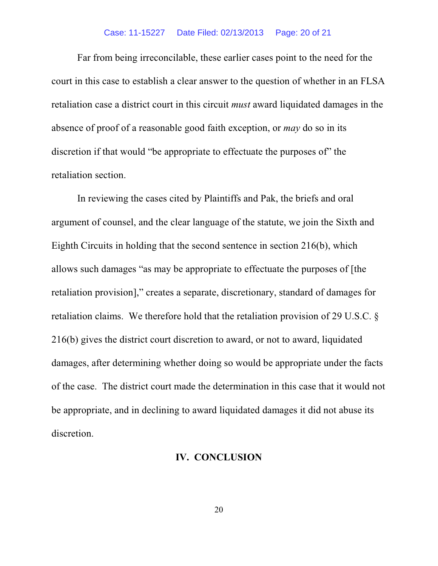## Case: 11-15227 Date Filed: 02/13/2013 Page: 20 of 21

Far from being irreconcilable, these earlier cases point to the need for the court in this case to establish a clear answer to the question of whether in an FLSA retaliation case a district court in this circuit *must* award liquidated damages in the absence of proof of a reasonable good faith exception, or *may* do so in its discretion if that would "be appropriate to effectuate the purposes of" the retaliation section.

In reviewing the cases cited by Plaintiffs and Pak, the briefs and oral argument of counsel, and the clear language of the statute, we join the Sixth and Eighth Circuits in holding that the second sentence in section 216(b), which allows such damages "as may be appropriate to effectuate the purposes of [the retaliation provision]," creates a separate, discretionary, standard of damages for retaliation claims. We therefore hold that the retaliation provision of 29 U.S.C. § 216(b) gives the district court discretion to award, or not to award, liquidated damages, after determining whether doing so would be appropriate under the facts of the case. The district court made the determination in this case that it would not be appropriate, and in declining to award liquidated damages it did not abuse its discretion.

# **IV. CONCLUSION**